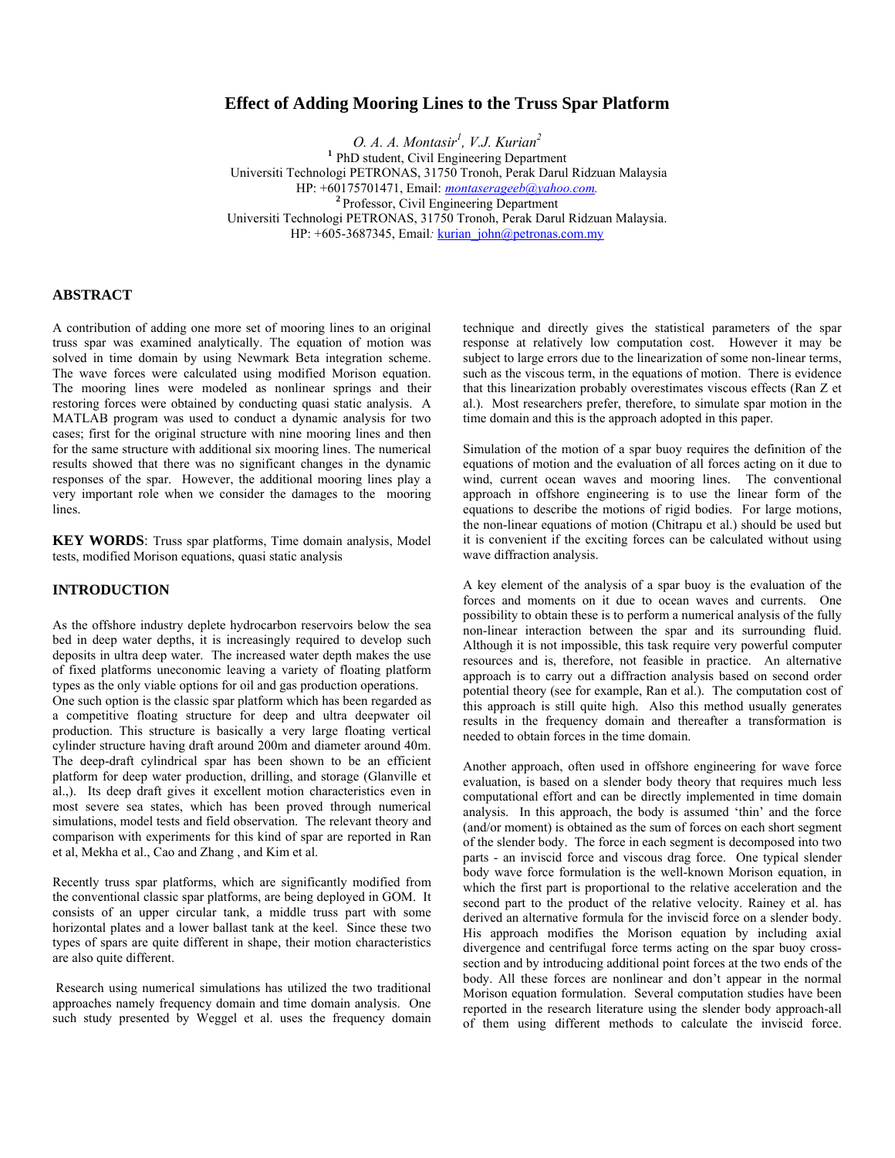# **Effect of Adding Mooring Lines to the Truss Spar Platform**

*O. A. A. Montasir<sup>1</sup> , V.J. Kurian<sup>2</sup>* **<sup>1</sup>** PhD student, Civil Engineering Department Universiti Technologi PETRONAS, 31750 Tronoh, Perak Darul Ridzuan Malaysia HP: +60175701471, Email: *[montaserageeb@yahoo.com](mailto:montaserageeb@yahoo.com).* **<sup>2</sup>**Professor, Civil Engineering Department Universiti Technologi PETRONAS, 31750 Tronoh, Perak Darul Ridzuan Malaysia. HP: +605-3687345, Email: **kurian** john@petronas.com.my

### **ABSTRACT**

A contribution of adding one more set of mooring lines to an original truss spar was examined analytically. The equation of motion was solved in time domain by using Newmark Beta integration scheme. The wave forces were calculated using modified Morison equation. The mooring lines were modeled as nonlinear springs and their restoring forces were obtained by conducting quasi static analysis. A MATLAB program was used to conduct a dynamic analysis for two cases; first for the original structure with nine mooring lines and then for the same structure with additional six mooring lines. The numerical results showed that there was no significant changes in the dynamic responses of the spar. However, the additional mooring lines play a very important role when we consider the damages to the mooring lines.

**KEY WORDS**: Truss spar platforms, Time domain analysis, Model tests, modified Morison equations, quasi static analysis

## **INTRODUCTION**

As the offshore industry deplete hydrocarbon reservoirs below the sea bed in deep water depths, it is increasingly required to develop such deposits in ultra deep water. The increased water depth makes the use of fixed platforms uneconomic leaving a variety of floating platform types as the only viable options for oil and gas production operations.

One such option is the classic spar platform which has been regarded as a competitive floating structure for deep and ultra deepwater oil production. This structure is basically a very large floating vertical cylinder structure having draft around 200m and diameter around 40m. The deep-draft cylindrical spar has been shown to be an efficient platform for deep water production, drilling, and storage (Glanville et al.,). Its deep draft gives it excellent motion characteristics even in most severe sea states, which has been proved through numerical simulations, model tests and field observation. The relevant theory and comparison with experiments for this kind of spar are reported in Ran et al, Mekha et al., Cao and Zhang , and Kim et al.

Recently truss spar platforms, which are significantly modified from the conventional classic spar platforms, are being deployed in GOM. It consists of an upper circular tank, a middle truss part with some horizontal plates and a lower ballast tank at the keel. Since these two types of spars are quite different in shape, their motion characteristics are also quite different.

 Research using numerical simulations has utilized the two traditional approaches namely frequency domain and time domain analysis. One such study presented by Weggel et al. uses the frequency domain technique and directly gives the statistical parameters of the spar response at relatively low computation cost. However it may be subject to large errors due to the linearization of some non-linear terms, such as the viscous term, in the equations of motion. There is evidence that this linearization probably overestimates viscous effects (Ran Z et al.). Most researchers prefer, therefore, to simulate spar motion in the time domain and this is the approach adopted in this paper.

Simulation of the motion of a spar buoy requires the definition of the equations of motion and the evaluation of all forces acting on it due to wind, current ocean waves and mooring lines. The conventional approach in offshore engineering is to use the linear form of the equations to describe the motions of rigid bodies. For large motions, the non-linear equations of motion (Chitrapu et al.) should be used but it is convenient if the exciting forces can be calculated without using wave diffraction analysis.

A key element of the analysis of a spar buoy is the evaluation of the forces and moments on it due to ocean waves and currents. One possibility to obtain these is to perform a numerical analysis of the fully non-linear interaction between the spar and its surrounding fluid. Although it is not impossible, this task require very powerful computer resources and is, therefore, not feasible in practice. An alternative approach is to carry out a diffraction analysis based on second order potential theory (see for example, Ran et al.). The computation cost of this approach is still quite high. Also this method usually generates results in the frequency domain and thereafter a transformation is needed to obtain forces in the time domain.

Another approach, often used in offshore engineering for wave force evaluation, is based on a slender body theory that requires much less computational effort and can be directly implemented in time domain analysis. In this approach, the body is assumed 'thin' and the force (and/or moment) is obtained as the sum of forces on each short segment of the slender body. The force in each segment is decomposed into two parts - an inviscid force and viscous drag force. One typical slender body wave force formulation is the well-known Morison equation, in which the first part is proportional to the relative acceleration and the second part to the product of the relative velocity. Rainey et al. has derived an alternative formula for the inviscid force on a slender body. His approach modifies the Morison equation by including axial divergence and centrifugal force terms acting on the spar buoy crosssection and by introducing additional point forces at the two ends of the body. All these forces are nonlinear and don't appear in the normal Morison equation formulation. Several computation studies have been reported in the research literature using the slender body approach-all of them using different methods to calculate the inviscid force.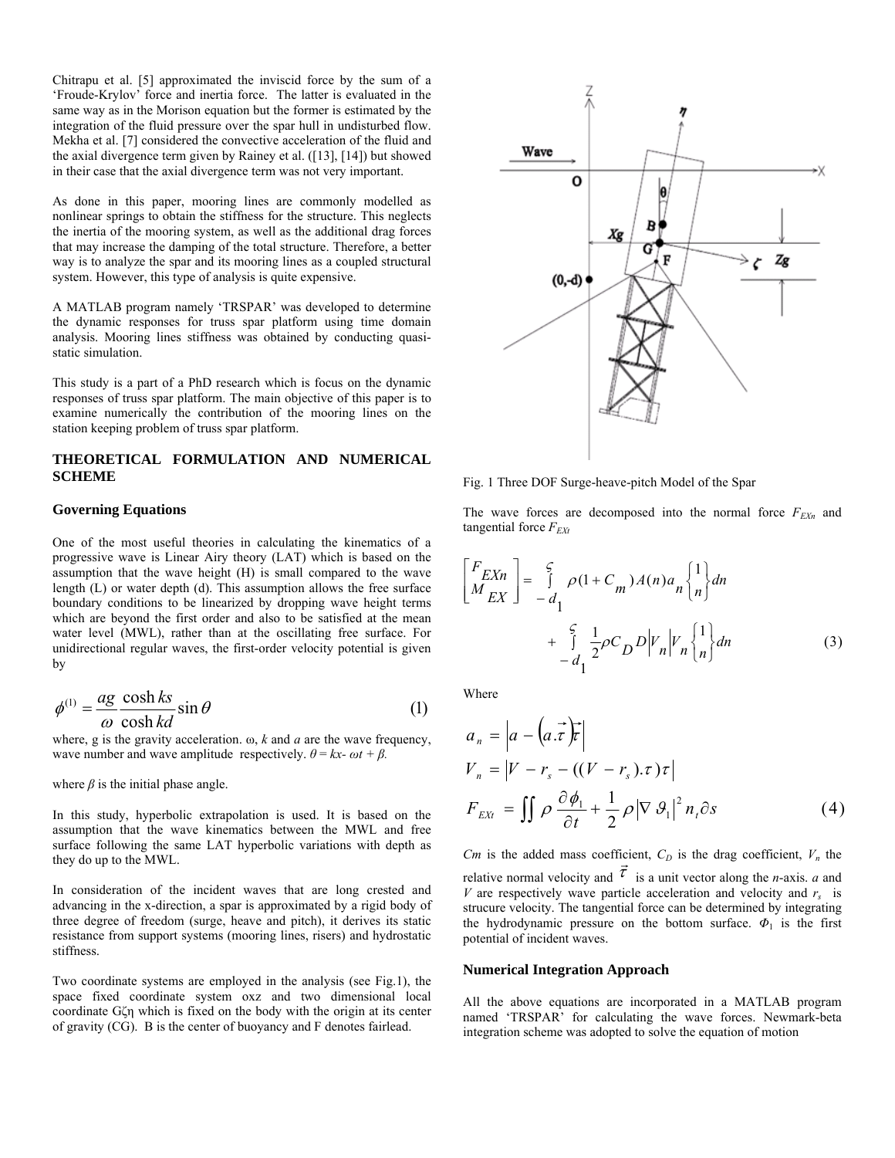Chitrapu et al. [5] approximated the inviscid force by the sum of a 'Froude-Krylov' force and inertia force. The latter is evaluated in the same way as in the Morison equation but the former is estimated by the integration of the fluid pressure over the spar hull in undisturbed flow. Mekha et al. [7] considered the convective acceleration of the fluid and the axial divergence term given by Rainey et al. ([13], [14]) but showed in their case that the axial divergence term was not very important.

As done in this paper, mooring lines are commonly modelled as nonlinear springs to obtain the stiffness for the structure. This neglects the inertia of the mooring system, as well as the additional drag forces that may increase the damping of the total structure. Therefore, a better way is to analyze the spar and its mooring lines as a coupled structural system. However, this type of analysis is quite expensive.

A MATLAB program namely 'TRSPAR' was developed to determine the dynamic responses for truss spar platform using time domain analysis. Mooring lines stiffness was obtained by conducting quasistatic simulation.

This study is a part of a PhD research which is focus on the dynamic responses of truss spar platform. The main objective of this paper is to examine numerically the contribution of the mooring lines on the station keeping problem of truss spar platform.

## **THEORETICAL FORMULATION AND NUMERICAL SCHEME**

#### **Governing Equations**

One of the most useful theories in calculating the kinematics of a progressive wave is Linear Airy theory (LAT) which is based on the assumption that the wave height (H) is small compared to the wave length (L) or water depth (d). This assumption allows the free surface boundary conditions to be linearized by dropping wave height terms which are beyond the first order and also to be satisfied at the mean water level (MWL), rather than at the oscillating free surface. For unidirectional regular waves, the first-order velocity potential is given by

$$
\phi^{(1)} = \frac{ag}{\omega} \frac{\cosh ks}{\cosh kd} \sin \theta \tag{1}
$$

where, g is the gravity acceleration. ω, *k* and *a* are the wave frequency, wave number and wave amplitude respectively.  $\theta = kx - \omega t + \beta$ .

where  $\beta$  is the initial phase angle.

In this study, hyperbolic extrapolation is used. It is based on the assumption that the wave kinematics between the MWL and free surface following the same LAT hyperbolic variations with depth as they do up to the MWL.

In consideration of the incident waves that are long crested and advancing in the x-direction, a spar is approximated by a rigid body of three degree of freedom (surge, heave and pitch), it derives its static resistance from support systems (mooring lines, risers) and hydrostatic stiffness.

Two coordinate systems are employed in the analysis (see Fig.1), the space fixed coordinate system oxz and two dimensional local coordinate Gζη which is fixed on the body with the origin at its center of gravity (CG). B is the center of buoyancy and F denotes fairlead.



Fig. 1 Three DOF Surge-heave-pitch Model of the Spar

The wave forces are decomposed into the normal force  $F_{EXn}$  and tangential force  $F_{EXt}$ 

$$
\begin{bmatrix} F_{EXn} \\ M_{EX} \end{bmatrix} = \int_{-d_1}^{\varsigma} \rho (1 + C_m) A(n) a_n \begin{Bmatrix} 1 \\ n \end{Bmatrix} dn
$$
  
+ 
$$
\int_{-d_1}^{\varsigma} \frac{1}{2} \rho C_D D |V_n| V_n \begin{Bmatrix} 1 \\ n \end{Bmatrix} dn
$$
 (3)

Where

$$
a_n = |a - (a \cdot \vec{\tau})\vec{\tau}|
$$
  
\n
$$
V_n = |V - r_s - ((V - r_s) \cdot \tau) \tau|
$$
  
\n
$$
F_{EXt} = \iint \rho \frac{\partial \phi_1}{\partial t} + \frac{1}{2} \rho |\nabla \theta_1|^2 n_t \partial s
$$
 (4)

*Cm* is the added mass coefficient,  $C_D$  is the drag coefficient,  $V_n$  the relative normal velocity and  $\tau$  is a unit vector along the *n*-axis. *a* and *V* are respectively wave particle acceleration and velocity and  $r_s$  is strucure velocity. The tangential force can be determined by integrating the hydrodynamic pressure on the bottom surface. *Φ*1 is the first potential of incident waves.

#### **Numerical Integration Approach**

All the above equations are incorporated in a MATLAB program named 'TRSPAR' for calculating the wave forces. Newmark-beta integration scheme was adopted to solve the equation of motion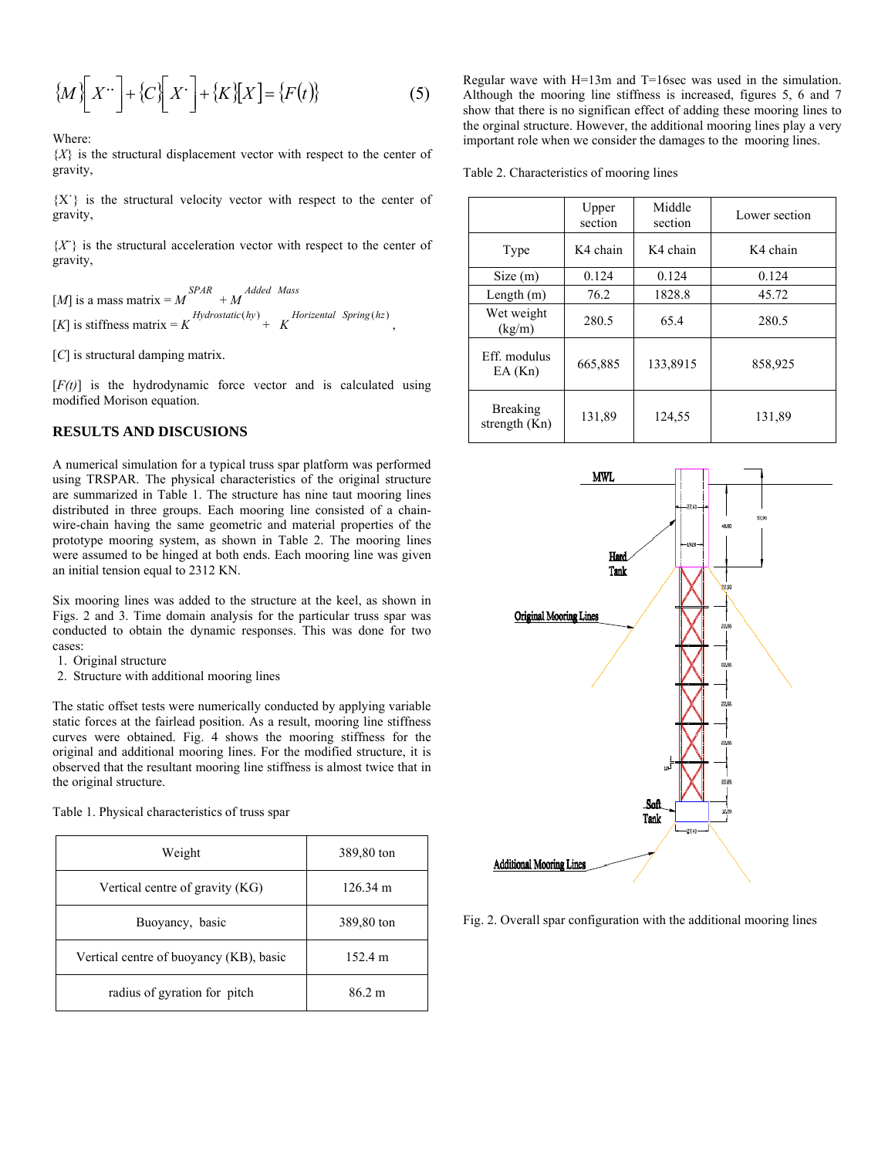$$
\{M\bigg[X^{\dots}\bigg] + \{C\bigg[X\bigg] + \{K\}\big[X\bigg] = \{F(t)\}\}\tag{5}
$$

Where:

 ${X}$  is the structural displacement vector with respect to the center of gravity,

{X˙} is the structural velocity vector with respect to the center of gravity,

 ${X}$  is the structural acceleration vector with respect to the center of gravity,

 $[M]$  is a mass matrix =  $M^{SPAR}$  +  $M^{Added$  *Mass*  $[K]$  is stiffness matrix =  $K$   $Hydrostatic(hy)$  +  $K$   $Horize$  *Horizental Spring* (*hz*)

[*C*] is structural damping matrix.

[*F(t)*] is the hydrodynamic force vector and is calculated using modified Morison equation.

## **RESULTS AND DISCUSIONS**

A numerical simulation for a typical truss spar platform was performed using TRSPAR. The physical characteristics of the original structure are summarized in Table 1. The structure has nine taut mooring lines distributed in three groups. Each mooring line consisted of a chainwire-chain having the same geometric and material properties of the prototype mooring system, as shown in Table 2. The mooring lines were assumed to be hinged at both ends. Each mooring line was given an initial tension equal to 2312 KN.

Six mooring lines was added to the structure at the keel, as shown in Figs. 2 and 3. Time domain analysis for the particular truss spar was conducted to obtain the dynamic responses. This was done for two cases:

- 1. Original structure
- 2. Structure with additional mooring lines

The static offset tests were numerically conducted by applying variable static forces at the fairlead position. As a result, mooring line stiffness curves were obtained. Fig. 4 shows the mooring stiffness for the original and additional mooring lines. For the modified structure, it is observed that the resultant mooring line stiffness is almost twice that in the original structure.

Table 1. Physical characteristics of truss spar

| Weight                                  | 389,80 ton       |
|-----------------------------------------|------------------|
| Vertical centre of gravity (KG)         | 126.34 m         |
| Buoyancy, basic                         | 389,80 ton       |
| Vertical centre of buoyancy (KB), basic | 152.4 m          |
| radius of gyration for pitch            | $86.2 \text{ m}$ |

Regular wave with H=13m and T=16sec was used in the simulation. Although the mooring line stiffness is increased, figures 5, 6 and 7 show that there is no significan effect of adding these mooring lines to the orginal structure. However, the additional mooring lines play a very important role when we consider the damages to the mooring lines.

Table 2. Characteristics of mooring lines

|                                    | Upper<br>section | Middle<br>section | Lower section |
|------------------------------------|------------------|-------------------|---------------|
| Type                               | K4 chain         | K4 chain          | K4 chain      |
| Size(m)                            | 0.124            | 0.124             | 0.124         |
| Length $(m)$                       | 76.2             | 1828.8            | 45.72         |
| Wet weight<br>(kg/m)               | 280.5            | 65.4              | 280.5         |
| Eff. modulus<br>EA(Kn)             | 665,885          | 133,8915          | 858,925       |
| <b>Breaking</b><br>strength $(Kn)$ | 131,89           | 124,55            | 131,89        |



Fig. 2. Overall spar configuration with the additional mooring lines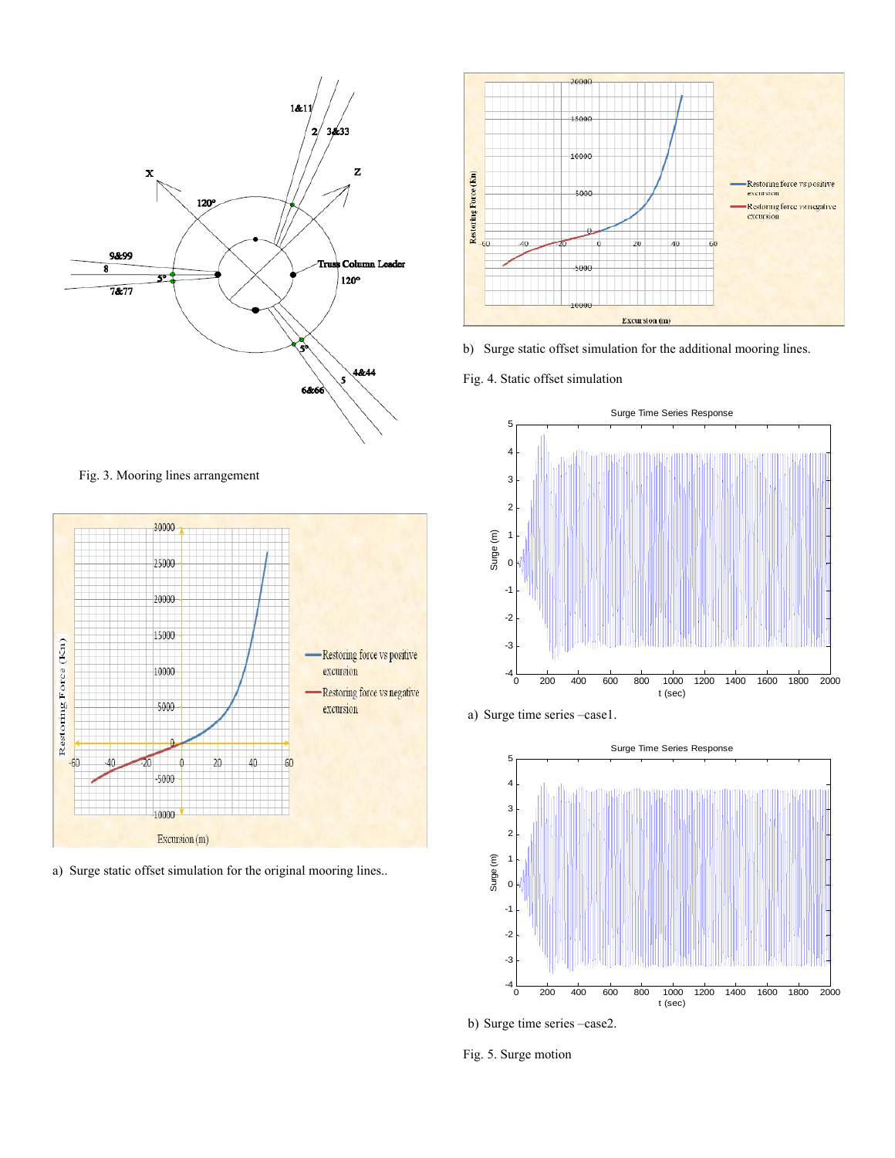

Fig. 3. Mooring lines arrangement



a) Surge static offset simulation for the original mooring lines..



b) Surge static offset simulation for the additional mooring lines.

Fig. 4. Static offset simulation



a) Surge time series –case1.



b) Surge time series –case2.

Fig. 5. Surge motion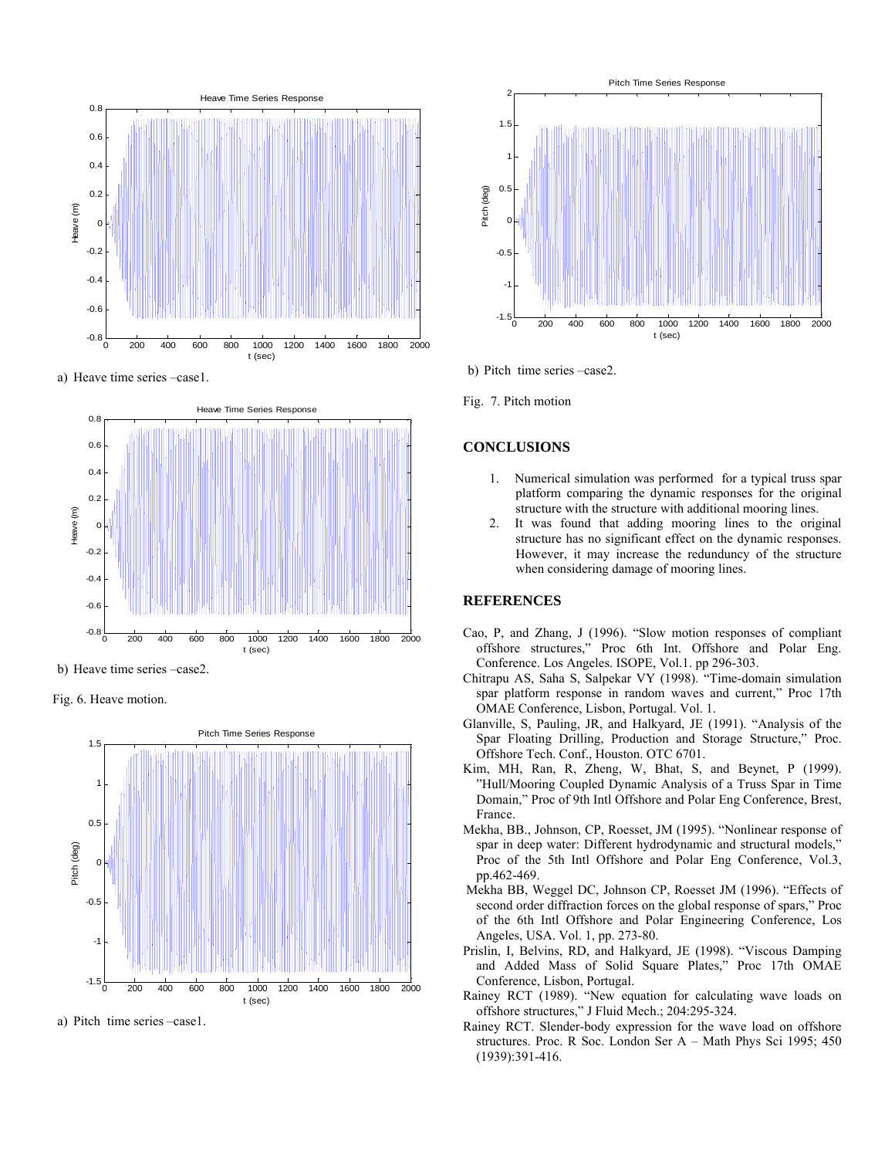

a) Heave time series –case1.



b) Heave time series –case2.

Fig. 6. Heave motion.



a) Pitch time series –case1.



b) Pitch time series –case2.

Fig. 7. Pitch motion

## **CONCLUSIONS**

- 1. Numerical simulation was performed for a typical truss spar platform comparing the dynamic responses for the original structure with the structure with additional mooring lines.
- 2. It was found that adding mooring lines to the original structure has no significant effect on the dynamic responses. However, it may increase the redunduncy of the structure when considering damage of mooring lines.

## **REFERENCES**

- Cao, P, and Zhang, J (1996). "Slow motion responses of compliant offshore structures," Proc 6th Int. Offshore and Polar Eng. Conference. Los Angeles. ISOPE, Vol.1. pp 296-303.
- Chitrapu AS, Saha S, Salpekar VY (1998). "Time-domain simulation spar platform response in random waves and current," Proc 17th OMAE Conference, Lisbon, Portugal. Vol. 1.
- Glanville, S, Pauling, JR, and Halkyard, JE (1991). "Analysis of the Spar Floating Drilling, Production and Storage Structure," Proc. Offshore Tech. Conf., Houston. OTC 6701.
- Kim, MH, Ran, R, Zheng, W, Bhat, S, and Beynet, P (1999). "Hull/Mooring Coupled Dynamic Analysis of a Truss Spar in Time Domain," Proc of 9th Intl Offshore and Polar Eng Conference, Brest, France.
- Mekha, BB., Johnson, CP, Roesset, JM (1995). "Nonlinear response of spar in deep water: Different hydrodynamic and structural models," Proc of the 5th Intl Offshore and Polar Eng Conference, Vol.3, pp.462-469.
- Mekha BB, Weggel DC, Johnson CP, Roesset JM (1996). "Effects of second order diffraction forces on the global response of spars," Proc of the 6th Intl Offshore and Polar Engineering Conference, Los Angeles, USA. Vol. 1, pp. 273-80.
- Prislin, I, Belvins, RD, and Halkyard, JE (1998). "Viscous Damping and Added Mass of Solid Square Plates," Proc 17th OMAE Conference, Lisbon, Portugal.
- Rainey RCT (1989). "New equation for calculating wave loads on offshore structures," J Fluid Mech.; 204:295-324.
- Rainey RCT. Slender-body expression for the wave load on offshore structures. Proc. R Soc. London Ser A – Math Phys Sci 1995; 450 (1939):391-416.